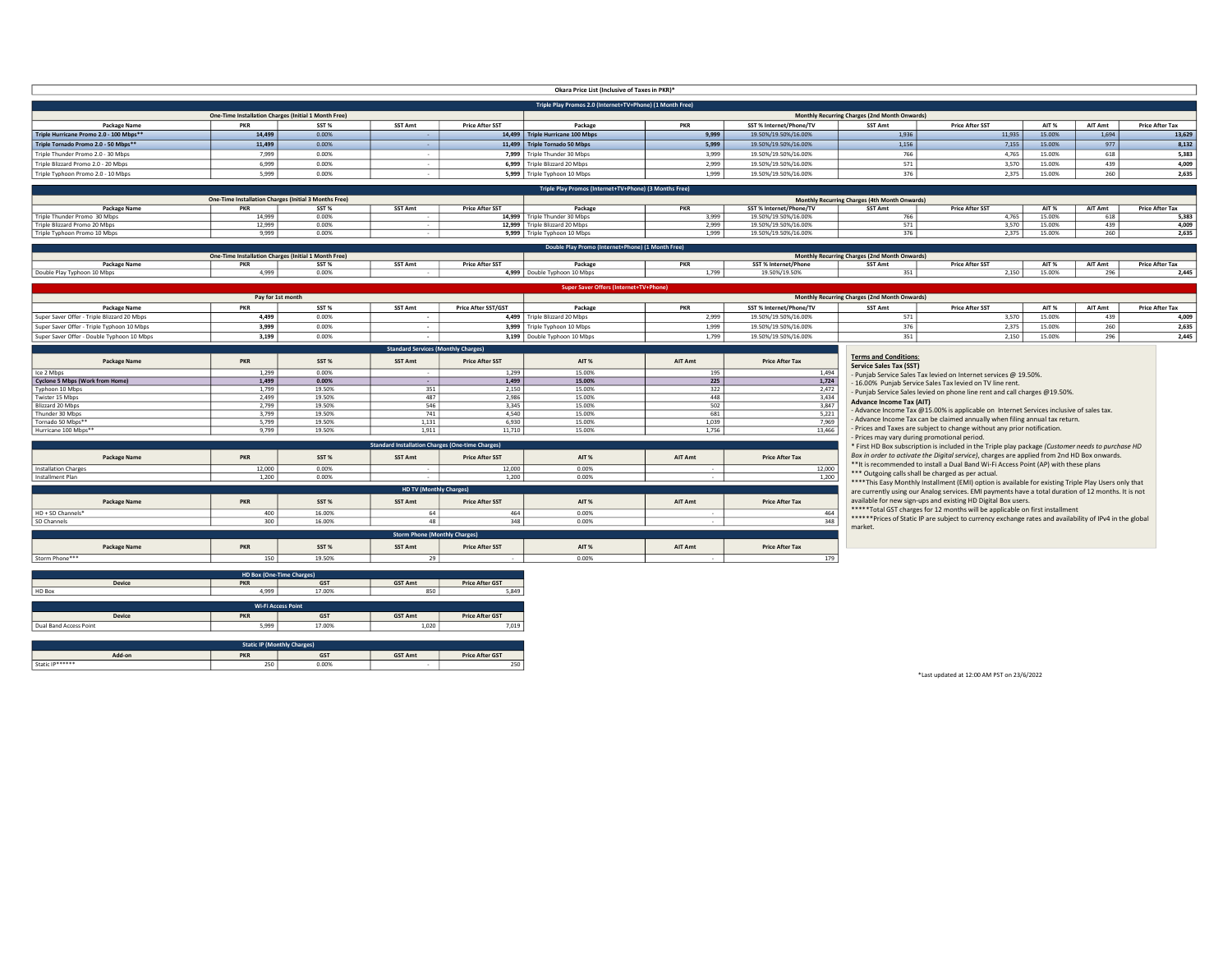|                                              |                      |                                                               |                                                         |                                  | Okara Price List (Inclusive of Taxes in PKR)*             |                     |                                                 |                                                                 |                                                                                                        |                 |                |                                 |
|----------------------------------------------|----------------------|---------------------------------------------------------------|---------------------------------------------------------|----------------------------------|-----------------------------------------------------------|---------------------|-------------------------------------------------|-----------------------------------------------------------------|--------------------------------------------------------------------------------------------------------|-----------------|----------------|---------------------------------|
|                                              |                      |                                                               |                                                         |                                  | Triple Play Promos 2.0 (Internet+TV+Phone) (1 Month Free) |                     |                                                 |                                                                 |                                                                                                        |                 |                |                                 |
| Package Name                                 | <b>PKR</b>           | One-Time Installation Charges (Initial 1 Month Free)<br>SST % | <b>SST Amt</b>                                          | <b>Price After SST</b>           | Package                                                   | <b>PKR</b>          | SST % Internet/Phone/TV                         | Monthly Recurring Charges (2nd Month Onwards)<br>SST Amt        | <b>Price After SST</b>                                                                                 | AIT %           | AIT Amt        | <b>Price After Tax</b>          |
| Triple Hurricane Promo 2.0 - 100 Mbps**      | 14,499               | 0.00%                                                         |                                                         |                                  | 14,499 Triple Hurricane 100 Mbps                          | 9,999               | 19.50%/19.50%/16.00%                            | 1,936                                                           | 11,935                                                                                                 | 15.00%          | 1,694          | 13,629                          |
| Triple Tornado Promo 2.0 - 50 Mbps**         | 11,499               | 0.00%                                                         |                                                         |                                  | 11,499 Triple Tornado 50 Mbps                             | 5,999               | 19.50%/19.50%/16.00%                            | 1,156                                                           | 7,155                                                                                                  | 15.00%          | 977            | 8,132                           |
| Triple Thunder Promo 2.0 - 30 Mbps           | 7,999                | 0.00%                                                         |                                                         |                                  | 7,999 Triple Thunder 30 Mbps                              | 3,999               | 19.50%/19.50%/16.00%                            | 766                                                             | 4,765                                                                                                  | 15.00%          | 618            | 5,383                           |
| Triple Blizzard Promo 2.0 - 20 Mbps          | 6,999                | 0.00%                                                         |                                                         |                                  | 6,999 Triple Blizzard 20 Mbps                             | 2.999               | 19.50%/19.50%/16.00%                            | 571                                                             | 3,570                                                                                                  | 15.00%          | 439            | 4,009                           |
| Triple Typhoon Promo 2.0 - 10 Mbps           | 5,999                | 0.00%                                                         |                                                         |                                  | 5,999 Triple Typhoon 10 Mbps                              | 1,999               | 19.50%/19.50%/16.00%                            | 376                                                             | 2.375                                                                                                  | 15.00%          | 260            | 2,635                           |
|                                              |                      |                                                               |                                                         |                                  | Triple Play Promos (Internet+TV+Phone) (3 Months Free)    |                     |                                                 |                                                                 |                                                                                                        |                 |                |                                 |
|                                              |                      | One-Time Installation Charges (Initial 3 Months Free)         |                                                         |                                  |                                                           |                     |                                                 | Monthly Recurring Charges (4th Month Onwards)                   |                                                                                                        |                 |                |                                 |
| Package Name<br>Triple Thunder Promo 30 Mbps | <b>PKR</b><br>14.999 | $SST$ %<br>0.00%                                              | SST Amt                                                 | <b>Price After SST</b><br>14.999 | Package<br>Triple Thunder 30 Mbps                         | PKR<br>3,999        | SST % Internet/Phone/TV<br>19.50%/19.50%/16.00% | SST Amt<br>766                                                  | <b>Price After SST</b><br>4.765                                                                        | AIT %<br>15.00% | AIT Amt<br>618 | <b>Price After Tax</b><br>5,383 |
| Triple Blizzard Promo 20 Mbps                | 12.999               | 0.00%                                                         |                                                         |                                  | 12,999 Triple Blizzard 20 Mbps                            | 2.999               | 19.50%/19.50%/16.00%                            | 571                                                             | 3.570                                                                                                  | 15.00%          | 439            | 4.009                           |
| Triple Typhoon Promo 10 Mbps                 | 9,999                | 0.00%                                                         |                                                         |                                  | 9,999 Triple Typhoon 10 Mbps                              | 1,999               | 19.50%/19.50%/16.00%                            | 376                                                             | 2,375                                                                                                  | 15.00%          | 260            | 2,635                           |
|                                              |                      |                                                               |                                                         |                                  | Double Play Promo (Internet+Phone) (1 Month Free)         |                     |                                                 |                                                                 |                                                                                                        |                 |                |                                 |
|                                              |                      | One-Time Installation Charges (Initial 1 Month Free)          |                                                         |                                  |                                                           |                     |                                                 | Monthly Recurring Charges (2nd Month Onwards)                   |                                                                                                        |                 |                |                                 |
| Package Name<br>Double Play Typhoon 10 Mbps  | <b>PKR</b><br>4.999  | SST %<br>0.00%                                                | SST Amt                                                 | <b>Price After SST</b>           | Package<br>4,999 Double Typhoon 10 Mbps                   | <b>PKR</b><br>1,799 | SST % Internet/Phone<br>19.50%/19.50%           | SST Amt<br>351                                                  | <b>Price After SST</b><br>2.150                                                                        | AIT %<br>15.00% | AIT Amt<br>296 | <b>Price After Tax</b><br>2.445 |
|                                              |                      |                                                               |                                                         |                                  |                                                           |                     |                                                 |                                                                 |                                                                                                        |                 |                |                                 |
|                                              |                      | Pay for 1st month                                             |                                                         |                                  | Super Saver Offers                                        |                     |                                                 |                                                                 |                                                                                                        |                 |                |                                 |
| <b>Package Name</b>                          | <b>PKR</b>           | SST %                                                         | <b>SST Amt</b>                                          | Price After SST/GST              | Package                                                   | <b>PKR</b>          | SST % Internet/Phone/TV                         | Monthly Recurring Charges (2nd Month Onwards)<br><b>SST Amt</b> | <b>Price After SST</b>                                                                                 | AIT %           | <b>AIT Amt</b> | <b>Price After Tax</b>          |
| Super Saver Offer - Triple Blizzard 20 Mbps  | 4,499                | 0.00%                                                         |                                                         |                                  | 4,499 Triple Blizzard 20 Mbps                             | 2,999               | 19.50%/19.50%/16.00%                            | 571                                                             | 3,570                                                                                                  | 15.00%          | 439            | 4,009                           |
| Super Saver Offer - Triple Typhoon 10 Mbps   | 3,999                | 0.00%                                                         |                                                         |                                  | 3,999 Triple Typhoon 10 Mbps                              | 1,999               | 19.50%/19.50%/16.00%                            | 376                                                             | 2,375                                                                                                  | 15.00%          | 260            | 2,635                           |
| Super Saver Offer - Double Typhoon 10 Mbns   | 3,199                | 0.00%                                                         |                                                         |                                  | 3,199 Double Typhoon 10 Mbps                              | 1,799               | 19.50%/19.50%/16.00%                            | 351                                                             | 2,150                                                                                                  | 15.00%          | 296            | 2,445                           |
|                                              |                      |                                                               | <b>Standard Services (Monthly Charges)</b>              |                                  |                                                           |                     |                                                 |                                                                 |                                                                                                        |                 |                |                                 |
| Package Name                                 | PKR                  | SST %                                                         | SST Amt                                                 | <b>Price After SST</b>           | AIT %                                                     | AIT Amt             | <b>Price After Tax</b>                          | <b>Terms and Conditions:</b>                                    |                                                                                                        |                 |                |                                 |
| Ice 2 Mbps                                   | 1,299                | 0.00%                                                         |                                                         | 1.299                            | 15.00%                                                    | 195                 | 1.494                                           | <b>Service Sales Tax (SST)</b>                                  | - Punjab Service Sales Tax levied on Internet services @ 19.50%.                                       |                 |                |                                 |
| Cyclone 5 Mbps (Work from Home)              | 1,499                | 0.00%                                                         |                                                         | 1,499                            | 15.00%                                                    | 225                 | 1,724                                           |                                                                 | - 16.00% Punjab Service Sales Tax levied on TV line rent.                                              |                 |                |                                 |
| Typhoon 10 Mbps                              | 1,799                | 19.50%                                                        | 351                                                     | 2,150                            | 15.00%                                                    | 322                 | 2,472                                           |                                                                 | - Punjab Service Sales levied on phone line rent and call charges @19.50%.                             |                 |                |                                 |
| Twister 15 Mbps<br>Blizzard 20 Mbps          | 2.499<br>2,799       | 19.50%<br>19.50%                                              | 487<br>546                                              | 2.986<br>3,345                   | 15.00%<br>15.00%                                          | 448<br>502          | 3.434<br>3,847                                  | <b>Advance Income Tax (AIT)</b>                                 |                                                                                                        |                 |                |                                 |
| Thunder 30 Mbns                              | 3.799                | 19.50%                                                        | 741                                                     | 4.540                            | 15.00%                                                    | 681                 | 5,221                                           |                                                                 | - Advance Income Tax @15.00% is applicable on Internet Services inclusive of sales tax.                |                 |                |                                 |
| Tornado 50 Mbps*                             | 5,799                | 19.50%                                                        | 1,131                                                   | 6,930                            | 15.00%                                                    | 1,039               | 7,969                                           |                                                                 | - Advance Income Tax can be claimed annually when filing annual tax return.                            |                 |                |                                 |
| Hurricane 100 Mbps**                         | 9,799                | 19.50%                                                        | 1,911                                                   | 11,710                           | 15.00%                                                    | 1,756               | 13,466                                          | - Prices may vary during promotional period.                    | - Prices and Taxes are subject to change without any prior notification.                               |                 |                |                                 |
|                                              |                      |                                                               | <b>Standard Installation Charges (One-time Charges)</b> |                                  |                                                           |                     |                                                 |                                                                 | * First HD Box subscription is included in the Triple play package (Customer needs to purchase HD      |                 |                |                                 |
| Package Name                                 | <b>PKR</b>           | SST %                                                         | SST Amt                                                 | <b>Price After SST</b>           | AIT %                                                     | AIT Amt             | <b>Price After Tax</b>                          |                                                                 | Box in order to activate the Digital service), charges are applied from 2nd HD Box onwards.            |                 |                |                                 |
| <b>Installation Charges</b>                  | 12,000               | 0.00%                                                         |                                                         | 12,000                           | 0.00%                                                     |                     | 12,000                                          |                                                                 | ** It is recommended to install a Dual Band Wi-Fi Access Point (AP) with these plans                   |                 |                |                                 |
| Installment Plan                             | 1,200                | 0.00%                                                         |                                                         | 1,200                            | 0.00%                                                     |                     | 1,200                                           | *** Outgoing calls shall be charged as per actual.              | **** This Easy Monthly Installment (EMI) option is available for existing Triple Play Users only that  |                 |                |                                 |
|                                              |                      |                                                               | <b>HD TV (Monthly Charges)</b>                          |                                  |                                                           |                     |                                                 |                                                                 | are currently using our Analog services. EMI payments have a total duration of 12 months. It is not    |                 |                |                                 |
| Package Name                                 | <b>PKR</b>           | SST %                                                         | SST Amt                                                 | <b>Price After SST</b>           | AIT %                                                     | AIT Amt             | <b>Price After Tax</b>                          |                                                                 | available for new sign-ups and existing HD Digital Box users.                                          |                 |                |                                 |
| HD + SD Channels*                            | 400                  | 16.00%                                                        | 64                                                      | 464                              | 0.00%                                                     |                     | 464                                             |                                                                 | *****Total GST charges for 12 months will be applicable on first installment                           |                 |                |                                 |
| SD Channels                                  | 300                  | 16.00%                                                        | 48                                                      | 348                              | 0.00%                                                     |                     | 348                                             | market.                                                         | *****Prices of Static IP are subject to currency exchange rates and availability of IPv4 in the global |                 |                |                                 |
|                                              |                      |                                                               | <b>Storm Phone (Monthly Charges)</b>                    |                                  |                                                           |                     |                                                 |                                                                 |                                                                                                        |                 |                |                                 |
| <b>Package Name</b>                          | <b>PKR</b>           | SST %                                                         | SST Amt                                                 | <b>Price After SST</b>           | AIT %                                                     | AIT Amt             | <b>Price After Tax</b>                          |                                                                 |                                                                                                        |                 |                |                                 |
| Storm Phone***                               | 150                  | 19.50%                                                        | - 29                                                    |                                  | 0.00%                                                     |                     | 179                                             |                                                                 |                                                                                                        |                 |                |                                 |
|                                              |                      |                                                               |                                                         |                                  |                                                           |                     |                                                 |                                                                 |                                                                                                        |                 |                |                                 |
|                                              | HD Box (One-Time     |                                                               |                                                         |                                  |                                                           |                     |                                                 |                                                                 |                                                                                                        |                 |                |                                 |
|                                              | <b>PKR</b>           | <b>GST</b>                                                    | <b>GST Amt</b><br>850                                   | <b>Price After GST</b><br>5,849  |                                                           |                     |                                                 |                                                                 |                                                                                                        |                 |                |                                 |
| <b>Device</b>                                |                      |                                                               |                                                         |                                  |                                                           |                     |                                                 |                                                                 |                                                                                                        |                 |                |                                 |
| HD Box                                       | 4.999                | 17.00%                                                        |                                                         |                                  |                                                           |                     |                                                 |                                                                 |                                                                                                        |                 |                |                                 |
|                                              |                      | Wi-Fi Access Point                                            |                                                         |                                  |                                                           |                     |                                                 |                                                                 |                                                                                                        |                 |                |                                 |
| <b>Device</b>                                | <b>PKR</b>           | <b>GST</b>                                                    | <b>GST Amt</b>                                          | <b>Price After GST</b>           |                                                           |                     |                                                 |                                                                 |                                                                                                        |                 |                |                                 |
| Dual Band Access Point                       | 5,999                | 17.00%                                                        | 1.020                                                   | 7,019                            |                                                           |                     |                                                 |                                                                 |                                                                                                        |                 |                |                                 |
|                                              |                      |                                                               |                                                         |                                  |                                                           |                     |                                                 |                                                                 |                                                                                                        |                 |                |                                 |
| Add-on                                       | <b>PKR</b>           | <b>Static IP (Monthly Charges)</b><br><b>GST</b>              | <b>GST Amt</b>                                          | <b>Price After GST</b>           |                                                           |                     |                                                 |                                                                 |                                                                                                        |                 |                |                                 |

\*Last updated at 12:00 AM PST on 23/6/2022